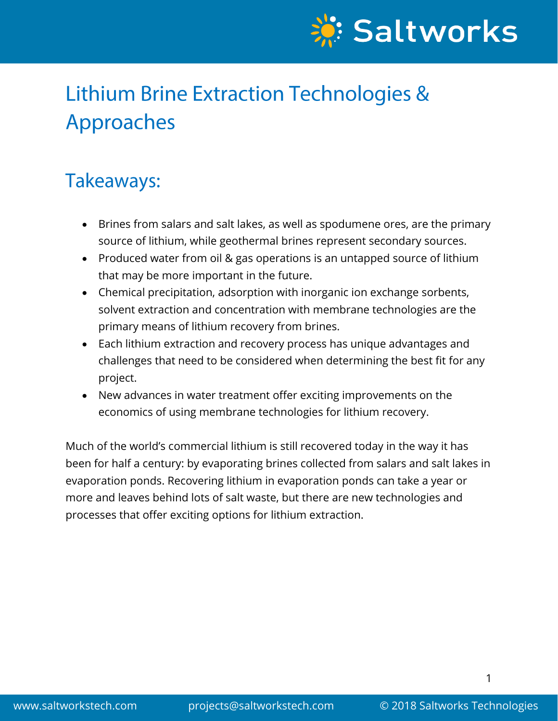

# **Lithium Brine Extraction Technologies &** Approaches

## Takeaways:

- Brines from salars and salt lakes, as well as spodumene ores, are the primary source of lithium, while geothermal brines represent secondary sources.
- Produced water from oil & gas operations is an untapped source of lithium that may be more important in the future.
- Chemical precipitation, adsorption with inorganic ion exchange sorbents, solvent extraction and concentration with membrane technologies are the primary means of lithium recovery from brines.
- Each lithium extraction and recovery process has unique advantages and challenges that need to be considered when determining the best fit for any project.
- New advances in water treatment offer exciting improvements on the economics of using membrane technologies for lithium recovery.

Much of the world's commercial lithium is still recovered today in the way it has been for half a century: by evaporating brines collected from salars and salt lakes in evaporation ponds. Recovering lithium in evaporation ponds can take a year or more and leaves behind lots of salt waste, but there are new technologies and processes that offer exciting options for lithium extraction.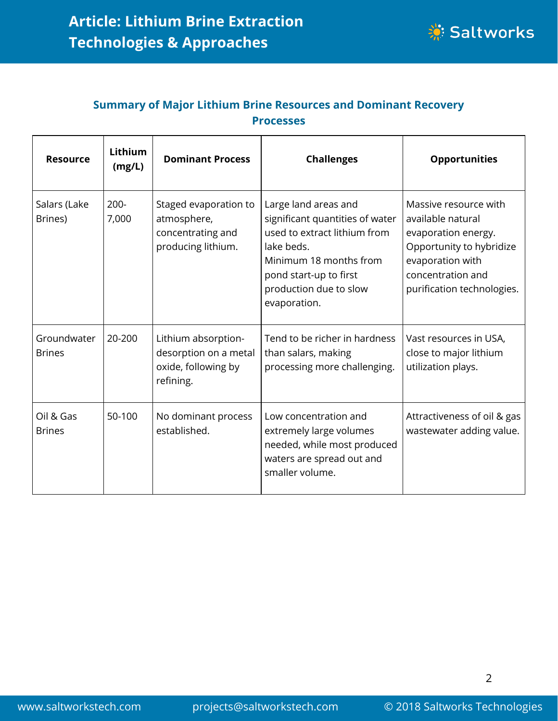

#### **Summary of Major Lithium Brine Resources and Dominant Recovery Processes**

| <b>Resource</b>              | Lithium<br>(mg/L) | <b>Dominant Process</b>                                                          | <b>Challenges</b>                                                                                                                                                                                   | <b>Opportunities</b>                                                                                                                                                 |
|------------------------------|-------------------|----------------------------------------------------------------------------------|-----------------------------------------------------------------------------------------------------------------------------------------------------------------------------------------------------|----------------------------------------------------------------------------------------------------------------------------------------------------------------------|
| Salars (Lake<br>Brines)      | $200 -$<br>7,000  | Staged evaporation to<br>atmosphere,<br>concentrating and<br>producing lithium.  | Large land areas and<br>significant quantities of water<br>used to extract lithium from<br>lake beds.<br>Minimum 18 months from<br>pond start-up to first<br>production due to slow<br>evaporation. | Massive resource with<br>available natural<br>evaporation energy.<br>Opportunity to hybridize<br>evaporation with<br>concentration and<br>purification technologies. |
| Groundwater<br><b>Brines</b> | 20-200            | Lithium absorption-<br>desorption on a metal<br>oxide, following by<br>refining. | Tend to be richer in hardness<br>than salars, making<br>processing more challenging.                                                                                                                | Vast resources in USA,<br>close to major lithium<br>utilization plays.                                                                                               |
| Oil & Gas<br><b>Brines</b>   | 50-100            | No dominant process<br>established.                                              | Low concentration and<br>extremely large volumes<br>needed, while most produced<br>waters are spread out and<br>smaller volume.                                                                     | Attractiveness of oil & gas<br>wastewater adding value.                                                                                                              |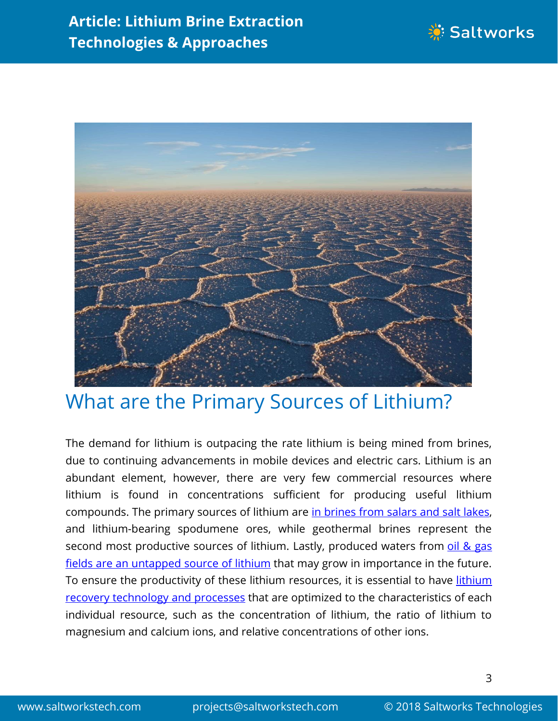



#### What are the Primary Sources of Lithium?

The demand for lithium is outpacing the rate lithium is being mined from brines, due to continuing advancements in mobile devices and electric cars. Lithium is an abundant element, however, there are very few commercial resources where lithium is found in concentrations sufficient for producing useful lithium compounds. The primary sources of lithium are in [brines](https://www.theguardian.com/sustainable-business/2017/jan/17/white-gold-companies-search-lithium-bolivia) from salars and salt lakes, and lithium-bearing spodumene ores, while geothermal brines represent the second most productive sources of lithium. Lastly, produced waters from oil & [gas](https://rockstone-research.com/images/pdfs/MGX_TechnicalReportRapidLithiumExtractionProcess.pdf) fields are an [untapped](https://rockstone-research.com/images/pdfs/MGX_TechnicalReportRapidLithiumExtractionProcess.pdf) source of lithium that may grow in importance in the future. To ensure the productivity of these [lithium](https://www.saltworkstech.com/industries/lithium-extraction-and-refining/) resources, it is essential to have lithium recovery [technology](https://www.saltworkstech.com/industries/lithium-extraction-and-refining/) and processes that are optimized to the characteristics of each individual resource, such as the concentration of lithium, the ratio of lithium to magnesium and calcium ions, and relative concentrations of other ions.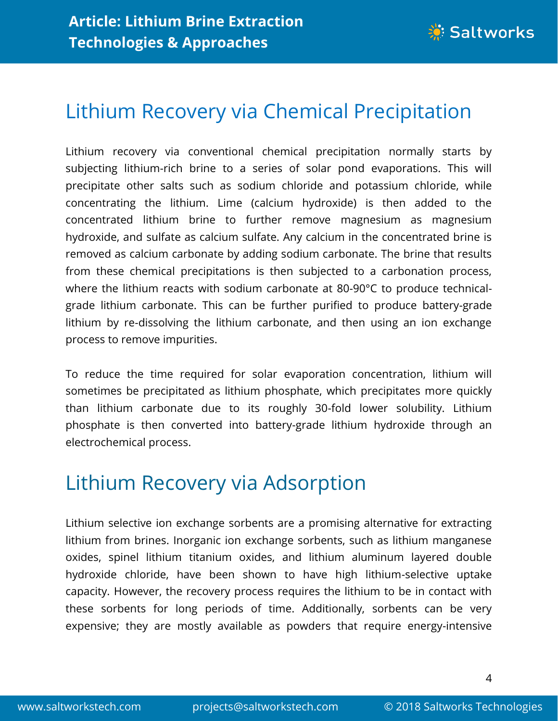

# Lithium Recovery via Chemical Precipitation

Lithium recovery via conventional chemical precipitation normally starts by subjecting lithium-rich brine to a series of solar pond evaporations. This will precipitate other salts such as sodium chloride and potassium chloride, while concentrating the lithium. Lime (calcium hydroxide) is then added to the concentrated lithium brine to further remove magnesium as magnesium hydroxide, and sulfate as calcium sulfate. Any calcium in the concentrated brine is removed as calcium carbonate by adding sodium carbonate. The brine that results from these chemical precipitations is then subjected to a carbonation process, where the lithium reacts with sodium carbonate at 80-90°C to produce technicalgrade lithium carbonate. This can be further purified to produce battery-grade lithium by re-dissolving the lithium carbonate, and then using an ion exchange process to remove impurities.

To reduce the time required for solar evaporation concentration, lithium will sometimes be precipitated as lithium phosphate, which precipitates more quickly than lithium carbonate due to its roughly 30-fold lower solubility. Lithium phosphate is then converted into battery-grade lithium hydroxide through an electrochemical process.

# Lithium Recovery via Adsorption

Lithium selective ion exchange sorbents are a promising alternative for extracting lithium from brines. Inorganic ion exchange sorbents, such as lithium manganese oxides, spinel lithium titanium oxides, and lithium aluminum layered double hydroxide chloride, have been shown to have high lithium-selective uptake capacity. However, the recovery process requires the lithium to be in contact with these sorbents for long periods of time. Additionally, sorbents can be very expensive; they are mostly available as powders that require energy-intensive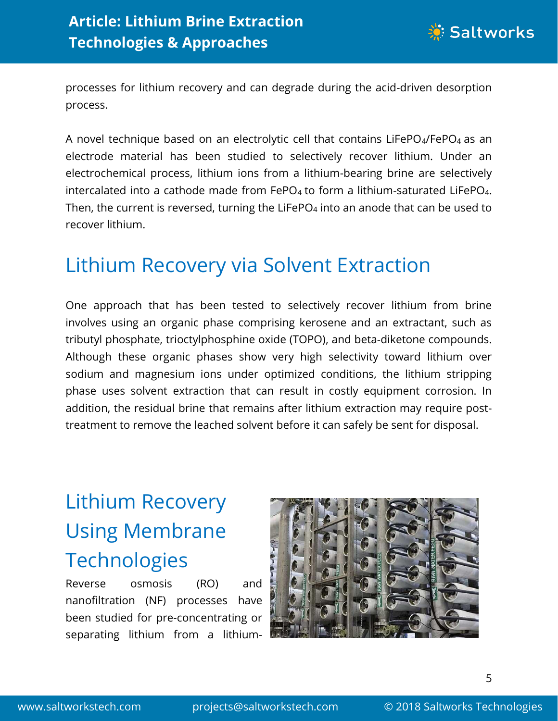

processes for lithium recovery and can degrade during the acid-driven desorption process.

A novel technique based on an electrolytic cell that contains LiFePO<sub>4</sub>/FePO<sub>4</sub> as an electrode material has been studied to selectively recover lithium. Under an electrochemical process, lithium ions from a lithium-bearing brine are selectively intercalated into a cathode made from  $FePo<sub>4</sub>$  to form a lithium-saturated LiFePO<sub>4</sub>. Then, the current is reversed, turning the LiFePO $_4$  into an anode that can be used to recover lithium.

## Lithium Recovery via Solvent Extraction

One approach that has been tested to selectively recover lithium from brine involves using an organic phase comprising kerosene and an extractant, such as tributyl phosphate, trioctylphosphine oxide (TOPO), and beta-diketone compounds. Although these organic phases show very high selectivity toward lithium over sodium and magnesium ions under optimized conditions, the lithium stripping phase uses solvent extraction that can result in costly equipment corrosion. In addition, the residual brine that remains after lithium extraction may require posttreatment to remove the leached solvent before it can safely be sent for disposal.

# Lithium Recovery Using Membrane **Technologies**

Reverse osmosis (RO) and nanofiltration (NF) processes have been studied for pre-concentrating or separating lithium from a lithium-